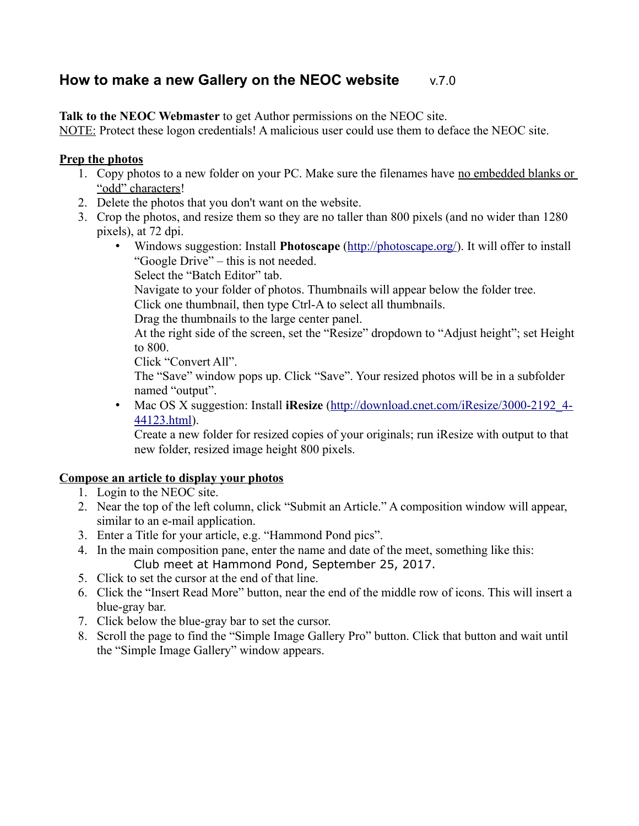## **How to make a new Gallery on the NEOC website** v.7.0

**Talk to the NEOC Webmaster** to get Author permissions on the NEOC site.

NOTE: Protect these logon credentials! A malicious user could use them to deface the NEOC site.

## **Prep the photos**

- 1. Copy photos to a new folder on your PC. Make sure the filenames have no embedded blanks or "odd" characters!
- 2. Delete the photos that you don't want on the website.
- 3. Crop the photos, and resize them so they are no taller than 800 pixels (and no wider than 1280 pixels), at 72 dpi.
	- Windows suggestion: Install **Photoscape** [\(http://photoscape.org/\)](http://photoscape.org/). It will offer to install "Google Drive" – this is not needed.
		- Select the "Batch Editor" tab.

Navigate to your folder of photos. Thumbnails will appear below the folder tree.

Click one thumbnail, then type Ctrl-A to select all thumbnails.

Drag the thumbnails to the large center panel.

At the right side of the screen, set the "Resize" dropdown to "Adjust height"; set Height to 800.

Click "Convert All".

The "Save" window pops up. Click "Save". Your resized photos will be in a subfolder named "output".

• Mac OS X suggestion: Install **iResize** [\(http://download.cnet.com/iResize/3000-2192\\_4-](http://download.cnet.com/iResize/3000-2192_4-44123.html) [44123.html\)](http://download.cnet.com/iResize/3000-2192_4-44123.html).

Create a new folder for resized copies of your originals; run iResize with output to that new folder, resized image height 800 pixels.

## **Compose an article to display your photos**

- 1. Login to the NEOC site.
- 2. Near the top of the left column, click "Submit an Article." A composition window will appear, similar to an e-mail application.
- 3. Enter a Title for your article, e.g. "Hammond Pond pics".
- 4. In the main composition pane, enter the name and date of the meet, something like this: Club meet at Hammond Pond, September 25, 2017.
- 5. Click to set the cursor at the end of that line.
- 6. Click the "Insert Read More" button, near the end of the middle row of icons. This will insert a blue-gray bar.
- 7. Click below the blue-gray bar to set the cursor.
- 8. Scroll the page to find the "Simple Image Gallery Pro" button. Click that button and wait until the "Simple Image Gallery" window appears.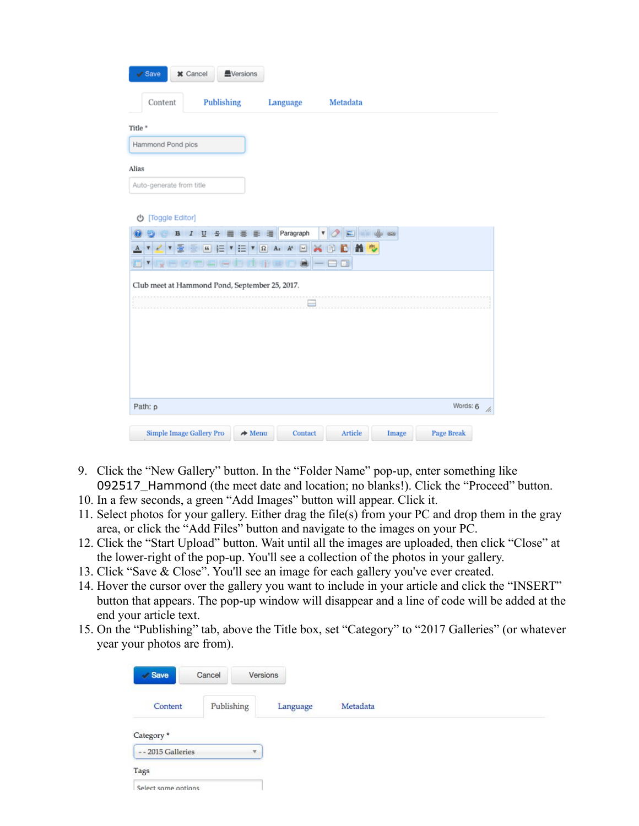| $\checkmark$ Save              | <b>*</b> Cancel<br><b>A</b> Versions           |                     |                                         |       |                   |
|--------------------------------|------------------------------------------------|---------------------|-----------------------------------------|-------|-------------------|
| Content                        | Publishing                                     | Language            | Metadata                                |       |                   |
| Title *                        |                                                |                     |                                         |       |                   |
| Hammond Pond pics              |                                                |                     |                                         |       |                   |
| Alias                          |                                                |                     |                                         |       |                   |
| Auto-generate from title       |                                                |                     |                                         |       |                   |
| <b>少 [Toggle Editor]</b>       |                                                |                     |                                         |       |                   |
| в                              | U S<br>≡<br>I                                  | Paragraph<br>롣<br>洼 | $\overline{\mathbf{v}}$<br>$\mathbf{E}$ |       |                   |
| $\mathbf{v}$ $\mathbf{v}$<br>E |                                                |                     | ■ 卷<br>ю<br>$\times$ 0                  |       |                   |
| Y<br>1 st                      |                                                |                     | $\Box$                                  |       |                   |
|                                | Club meet at Hammond Pond, September 25, 2017. |                     |                                         |       |                   |
|                                |                                                | ⊟                   |                                         |       |                   |
|                                |                                                |                     |                                         |       |                   |
|                                |                                                |                     |                                         |       |                   |
|                                |                                                |                     |                                         |       |                   |
|                                |                                                |                     |                                         |       |                   |
| Path: p                        |                                                |                     |                                         |       | Words: 6<br>h.    |
| Simple Image Gallery Pro       | $\rightarrow$ Menu                             | Contact             | Article                                 | Image | <b>Page Break</b> |

- 9. Click the "New Gallery" button. In the "Folder Name" pop-up, enter something like 092517\_Hammond (the meet date and location; no blanks!). Click the "Proceed" button.
- 10. In a few seconds, a green "Add Images" button will appear. Click it.
- 11. Select photos for your gallery. Either drag the file(s) from your PC and drop them in the gray area, or click the "Add Files" button and navigate to the images on your PC.
- 12. Click the "Start Upload" button. Wait until all the images are uploaded, then click "Close" at the lower-right of the pop-up. You'll see a collection of the photos in your gallery.
- 13. Click "Save & Close". You'll see an image for each gallery you've ever created.
- 14. Hover the cursor over the gallery you want to include in your article and click the "INSERT" button that appears. The pop-up window will disappear and a line of code will be added at the end your article text.
- 15. On the "Publishing" tab, above the Title box, set "Category" to "2017 Galleries" (or whatever year your photos are from).

| <b>Save</b>           | Cancel     | Versions |          |          |
|-----------------------|------------|----------|----------|----------|
| Content               | Publishing |          | Language | Metadata |
| Category <sup>*</sup> |            |          |          |          |
| -- 2015 Galleries     |            | v.       |          |          |
| Tags                  |            |          |          |          |
| Select some options   |            |          |          |          |